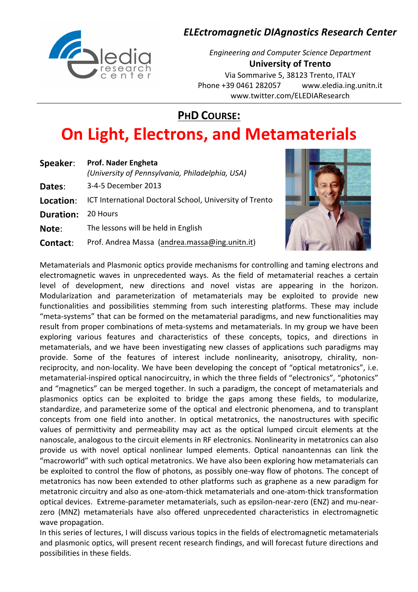# Trale

## **ELEctromagnetic DIAgnostics Research Center**

**Engineering and Computer Science Department University of Trento** Via Sommarive 5, 38123 Trento, ITALY Phone +39 0461 282057 www.eledia.ing.unitn.it www.twitter.com/ELEDIAResearch

**PHD COURSE:** 

## **On Light, Electrons, and Metamaterials**

| Speaker:         | <b>Prof. Nader Engheta</b><br>(University of Pennsylvania, Philadelphia, USA) |
|------------------|-------------------------------------------------------------------------------|
| Dates:           | 3-4-5 December 2013                                                           |
| Location:        | ICT International Doctoral School, University of Trento                       |
| <b>Duration:</b> | 20 Hours                                                                      |
| Note:            | The lessons will be held in English                                           |
| Contact:         | Prof. Andrea Massa (andrea.massa@ing.unitn.it)                                |
|                  |                                                                               |



Metamaterials and Plasmonic optics provide mechanisms for controlling and taming electrons and electromagnetic waves in unprecedented ways. As the field of metamaterial reaches a certain level of development, new directions and novel vistas are appearing in the horizon. Modularization and parameterization of metamaterials may be exploited to provide new functionalities and possibilities stemming from such interesting platforms. These may include "meta-systems" that can be formed on the metamaterial paradigms, and new functionalities may result from proper combinations of meta-systems and metamaterials. In my group we have been exploring various features and characteristics of these concepts, topics, and directions in metamaterials, and we have been investigating new classes of applications such paradigms may provide. Some of the features of interest include nonlinearity, anisotropy, chirality, nonreciprocity, and non-locality. We have been developing the concept of "optical metatronics", i.e. metamaterial-inspired optical nanocircuitry, in which the three fields of "electronics", "photonics" and "magnetics" can be merged together. In such a paradigm, the concept of metamaterials and plasmonics optics can be exploited to bridge the gaps among these fields, to modularize, standardize, and parameterize some of the optical and electronic phenomena, and to transplant concepts from one field into another. In optical metatronics, the nanostructures with specific values of permittivity and permeability may act as the optical lumped circuit elements at the nanoscale, analogous to the circuit elements in RF electronics. Nonlinearity in metatronics can also provide us with novel optical nonlinear lumped elements. Optical nanoantennas can link the "macroworld" with such optical metatronics. We have also been exploring how metamaterials can be exploited to control the flow of photons, as possibly one-way flow of photons. The concept of metatronics has now been extended to other platforms such as graphene as a new paradigm for metatronic circuitry and also as one-atom-thick metamaterials and one-atom-thick transformation optical devices. Extreme-parameter metamaterials, such as epsilon-near-zero (ENZ) and mu-nearzero (MNZ) metamaterials have also offered unprecedented characteristics in electromagnetic wave propagation.

In this series of lectures, I will discuss various topics in the fields of electromagnetic metamaterials and plasmonic optics, will present recent research findings, and will forecast future directions and possibilities in these fields.